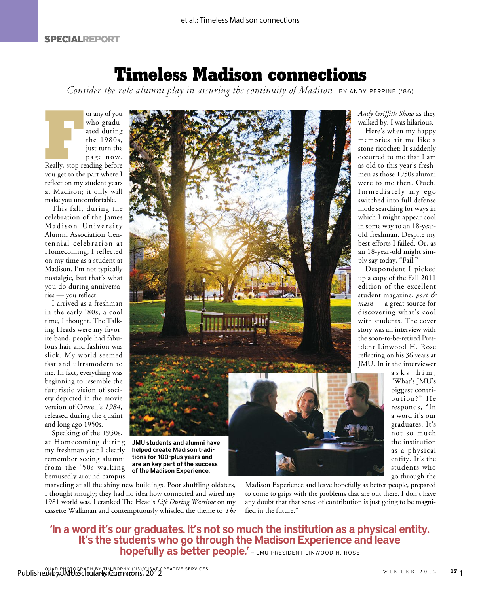## **Timeless Madison connections**

*Consider the role alumni play in assuring the continuity of Madison* BY ANDY PERRINE ('86)

 **F** or any of you who graduated during the 1980s, just turn the page now. Really, stop reading before you get to the part where I reflect on my student years at Madison; it only will make you uncomfortable.

This fall, during the celebration of the James Madison University Alumni Association Centennial celebration at Homecoming, I reflected on my time as a student at Madison. I'm not typically nostalgic, but that's what you do during anniversaries — you reflect.

I arrived as a freshman in the early '80s, a cool time, I thought. The Talking Heads were my favorite band, people had fabulous hair and fashion was slick. My world seemed fast and ultramodern to me. In fact, everything was beginning to resemble the futuristic vision of society depicted in the movie version of Orwell's *1984,* released during the quaint and long ago 1950s.

Speaking of the 1950s, at Homecoming during my freshman year I clearly remember seeing alumni from the '50s walking bemusedly around campus



Madison Experience and leave hopefully as better people, prepared to come to grips with the problems that are out there. I don't have any doubt that that sense of contribution is just going to be magnified in the future."

## 'In a word it's our graduates. It's not so much the institution as a physical entity. It's the students who go through the Madison Experience and leave hopefully as better people.' - JMU PRESIDENT LINWOOD H. ROSE

marveling at all the shiny new buildings. Poor shuffling oldsters, I thought smugly; they had no idea how connected and wired my 1981 world was. I cranked The Head's *Life During Wartime* on my cassette Walkman and contemptuously whistled the theme to *The*

of the Madison Experience.

a s k s h i m , "What's JMU's biggest contribution?" He responds, "In a word it's our graduates. It's not so much the institution as a physical entity. It's the students who go through the